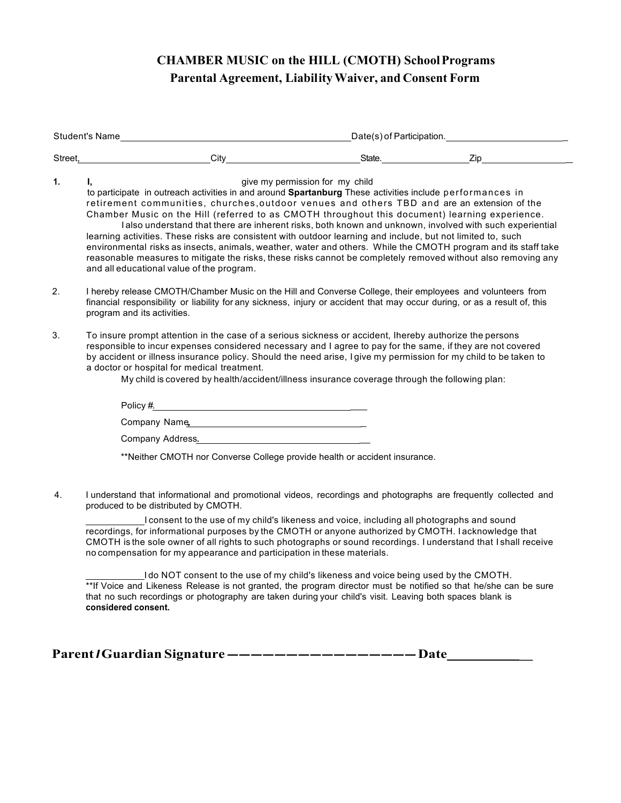## **CHAMBER MUSIC on the HILL (CMOTH) SchoolPrograms Parental Agreement, LiabilityWaiver, and Consent Form**

| Student's Name example and the student's Name example and the student's Name example and the student's Name example and the students of Participation. |                                                                                                                                                                                                                                                                                                                                                                                                                                                                                                                                                                                                                                                                                                                                                                                                                                                                                                              |                                                                                                                                                                                                                                                                                                                                  |  |  |  |
|--------------------------------------------------------------------------------------------------------------------------------------------------------|--------------------------------------------------------------------------------------------------------------------------------------------------------------------------------------------------------------------------------------------------------------------------------------------------------------------------------------------------------------------------------------------------------------------------------------------------------------------------------------------------------------------------------------------------------------------------------------------------------------------------------------------------------------------------------------------------------------------------------------------------------------------------------------------------------------------------------------------------------------------------------------------------------------|----------------------------------------------------------------------------------------------------------------------------------------------------------------------------------------------------------------------------------------------------------------------------------------------------------------------------------|--|--|--|
|                                                                                                                                                        | Street, City City State. State Zip                                                                                                                                                                                                                                                                                                                                                                                                                                                                                                                                                                                                                                                                                                                                                                                                                                                                           |                                                                                                                                                                                                                                                                                                                                  |  |  |  |
| 1.                                                                                                                                                     | give my permission for my child<br>I.<br>to participate in outreach activities in and around Spartanburg These activities include performances in<br>retirement communities, churches, outdoor venues and others TBD and are an extension of the<br>Chamber Music on the Hill (referred to as CMOTH throughout this document) learning experience.<br>I also understand that there are inherent risks, both known and unknown, involved with such experiential<br>learning activities. These risks are consistent with outdoor learning and include, but not limited to, such<br>environmental risks as insects, animals, weather, water and others. While the CMOTH program and its staff take<br>reasonable measures to mitigate the risks, these risks cannot be completely removed without also removing any<br>and all educational value of the program.                                                |                                                                                                                                                                                                                                                                                                                                  |  |  |  |
| 2.                                                                                                                                                     | I hereby release CMOTH/Chamber Music on the Hill and Converse College, their employees and volunteers from<br>financial responsibility or liability for any sickness, injury or accident that may occur during, or as a result of, this<br>program and its activities.                                                                                                                                                                                                                                                                                                                                                                                                                                                                                                                                                                                                                                       |                                                                                                                                                                                                                                                                                                                                  |  |  |  |
| 3.                                                                                                                                                     | To insure prompt attention in the case of a serious sickness or accident, Ihereby authorize the persons<br>a doctor or hospital for medical treatment.<br>Company Name                                                                                                                                                                                                                                                                                                                                                                                                                                                                                                                                                                                                                                                                                                                                       | responsible to incur expenses considered necessary and I agree to pay for the same, if they are not covered<br>by accident or illness insurance policy. Should the need arise, I give my permission for my child to be taken to<br>My child is covered by health/accident/illness insurance coverage through the following plan: |  |  |  |
|                                                                                                                                                        | Company Address. Company Address.                                                                                                                                                                                                                                                                                                                                                                                                                                                                                                                                                                                                                                                                                                                                                                                                                                                                            |                                                                                                                                                                                                                                                                                                                                  |  |  |  |
|                                                                                                                                                        | **Neither CMOTH nor Converse College provide health or accident insurance.                                                                                                                                                                                                                                                                                                                                                                                                                                                                                                                                                                                                                                                                                                                                                                                                                                   |                                                                                                                                                                                                                                                                                                                                  |  |  |  |
| 4.                                                                                                                                                     | I understand that informational and promotional videos, recordings and photographs are frequently collected and<br>produced to be distributed by CMOTH.<br>I consent to the use of my child's likeness and voice, including all photographs and sound<br>recordings, for informational purposes by the CMOTH or anyone authorized by CMOTH. Iacknowledge that<br>CMOTH is the sole owner of all rights to such photographs or sound recordings. I understand that I shall receive<br>no compensation for my appearance and participation in these materials.<br>I do NOT consent to the use of my child's likeness and voice being used by the CMOTH.<br>**If Voice and Likeness Release is not granted, the program director must be notified so that he/she can be sure<br>that no such recordings or photography are taken during your child's visit. Leaving both spaces blank is<br>considered consent. |                                                                                                                                                                                                                                                                                                                                  |  |  |  |

**Parent***I***Guardian Signature ----------------Date \_**